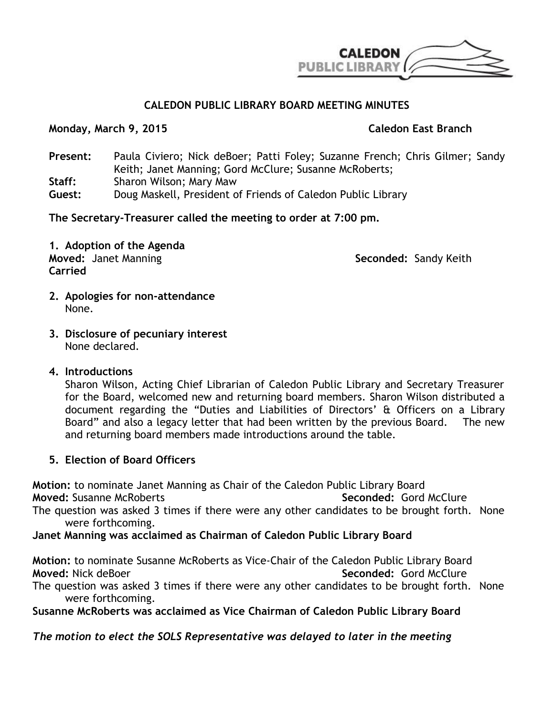

## **CALEDON PUBLIC LIBRARY BOARD MEETING MINUTES**

### **Monday, March 9, 2015 Caledon East Branch**

**Present:** Paula Civiero; Nick deBoer; Patti Foley; Suzanne French; Chris Gilmer; Sandy Keith; Janet Manning; Gord McClure; Susanne McRoberts; **Staff:** Sharon Wilson; Mary Maw **Guest:** Doug Maskell, President of Friends of Caledon Public Library

**The Secretary-Treasurer called the meeting to order at 7:00 pm.**

**1. Adoption of the Agenda Moved:** Janet Manning **Seconded:** Sandy Keith **Carried**

- **2. Apologies for non-attendance** None.
- **3. Disclosure of pecuniary interest** None declared.

## **4. Introductions**

Sharon Wilson, Acting Chief Librarian of Caledon Public Library and Secretary Treasurer for the Board, welcomed new and returning board members. Sharon Wilson distributed a document regarding the "Duties and Liabilities of Directors' & Officers on a Library Board" and also a legacy letter that had been written by the previous Board. The new and returning board members made introductions around the table.

## **5. Election of Board Officers**

**Motion:** to nominate Janet Manning as Chair of the Caledon Public Library Board

**Moved:** Susanne McRoberts **Seconded:** Gord McClure

The question was asked 3 times if there were any other candidates to be brought forth. None were forthcoming.

**Janet Manning was acclaimed as Chairman of Caledon Public Library Board**

**Motion:** to nominate Susanne McRoberts as Vice-Chair of the Caledon Public Library Board **Moved:** Nick deBoer **Seconded:** Gord McClure

The question was asked 3 times if there were any other candidates to be brought forth. None were forthcoming.

**Susanne McRoberts was acclaimed as Vice Chairman of Caledon Public Library Board**

*The motion to elect the SOLS Representative was delayed to later in the meeting*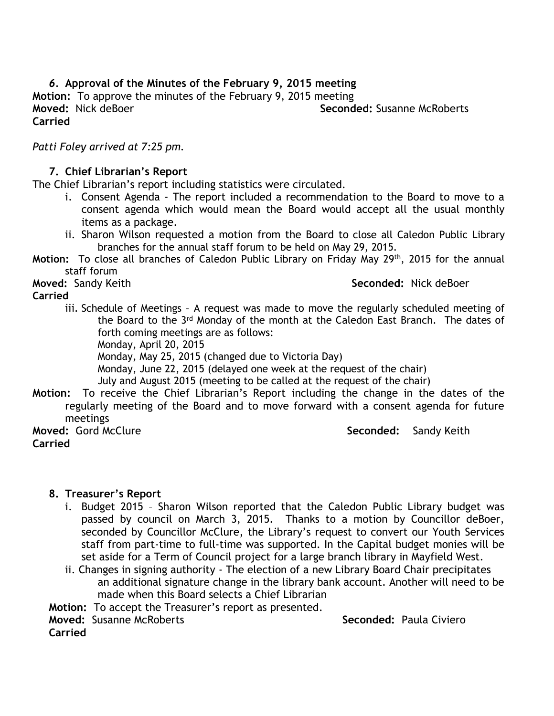## *6.* **Approval of the Minutes of the February 9, 2015 meeting Motion:** To approve the minutes of the February 9, 2015 meeting **Moved:** Nick deBoer **Seconded:** Susanne McRoberts **Carried**

*Patti Foley arrived at 7:25 pm.*

#### **7. Chief Librarian's Report**

The Chief Librarian's report including statistics were circulated.

- i. Consent Agenda The report included a recommendation to the Board to move to a consent agenda which would mean the Board would accept all the usual monthly items as a package.
- ii. Sharon Wilson requested a motion from the Board to close all Caledon Public Library branches for the annual staff forum to be held on May 29, 2015.
- **Motion:** To close all branches of Caledon Public Library on Friday May 29th, 2015 for the annual staff forum

**Moved:** Sandy Keith **Seconded:** Nick deBoer **Seconded:** Nick deBoer

#### **Carried**

- 
- iii. Schedule of Meetings A request was made to move the regularly scheduled meeting of the Board to the 3<sup>rd</sup> Monday of the month at the Caledon East Branch. The dates of forth coming meetings are as follows:

Monday, April 20, 2015

Monday, May 25, 2015 (changed due to Victoria Day)

Monday, June 22, 2015 (delayed one week at the request of the chair)

July and August 2015 (meeting to be called at the request of the chair)

**Motion:** To receive the Chief Librarian's Report including the change in the dates of the regularly meeting of the Board and to move forward with a consent agenda for future meetings

**Carried**

**Moved: Gord McClure**  $\qquad \qquad$  **Seconded: Sandy Keith** 

### **8. Treasurer's Report**

- i. Budget 2015 Sharon Wilson reported that the Caledon Public Library budget was passed by council on March 3, 2015. Thanks to a motion by Councillor deBoer, seconded by Councillor McClure, the Library's request to convert our Youth Services staff from part-time to full-time was supported. In the Capital budget monies will be set aside for a Term of Council project for a large branch library in Mayfield West.
- ii. Changes in signing authority The election of a new Library Board Chair precipitates an additional signature change in the library bank account. Another will need to be made when this Board selects a Chief Librarian

**Motion:** To accept the Treasurer's report as presented.

**Moved:** Susanne McRoberts **Seconded:** Paula Civiero

**Carried**